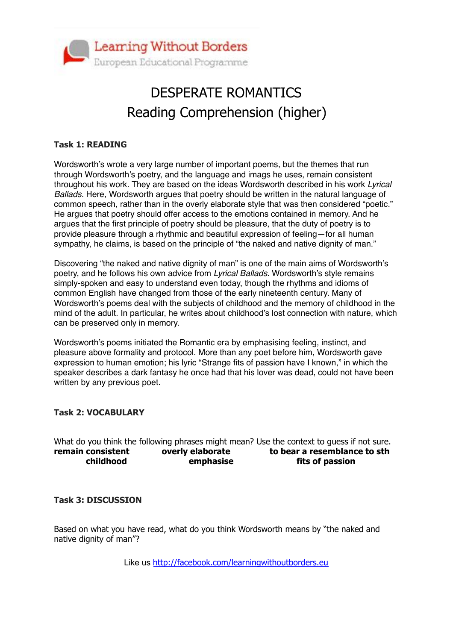

## DESPERATE ROMANTICS Reading Comprehension (higher)

#### **Task 1: READING**

Wordsworth's wrote a very large number of important poems, but the themes that run through Wordsworth's poetry, and the language and imags he uses, remain consistent throughout his work. They are based on the ideas Wordsworth described in his work *Lyrical Ballads.* Here, Wordsworth argues that poetry should be written in the natural language of common speech, rather than in the overly elaborate style that was then considered "poetic." He argues that poetry should offer access to the emotions contained in memory. And he argues that the first principle of poetry should be pleasure, that the duty of poetry is to provide pleasure through a rhythmic and beautiful expression of feeling—for all human sympathy, he claims, is based on the principle of "the naked and native dignity of man."

Discovering "the naked and native dignity of man" is one of the main aims of Wordsworth's poetry, and he follows his own advice from *Lyrical Ballads*. Wordsworth's style remains simply-spoken and easy to understand even today, though the rhythms and idioms of common English have changed from those of the early nineteenth century. Many of Wordsworth's poems deal with the subjects of childhood and the memory of childhood in the mind of the adult. In particular, he writes about childhood's lost connection with nature, which can be preserved only in memory.

Wordsworth's poems initiated the Romantic era by emphasising feeling, instinct, and pleasure above formality and protocol. More than any poet before him, Wordsworth gave expression to human emotion; his lyric "Strange fits of passion have I known," in which the speaker describes a dark fantasy he once had that his lover was dead, could not have been written by any previous poet.

#### **Task 2: VOCABULARY**

What do you think the following phrases might mean? Use the context to guess if not sure. remain consistent overly elaborate to bear a resemblance to sth  **childhood emphasise fits of passion**

#### **Task 3: DISCUSSION**

Based on what you have read, what do you think Wordsworth means by "the naked and native dignity of man"?

Like us <http://facebook.com/learningwithoutborders.eu>